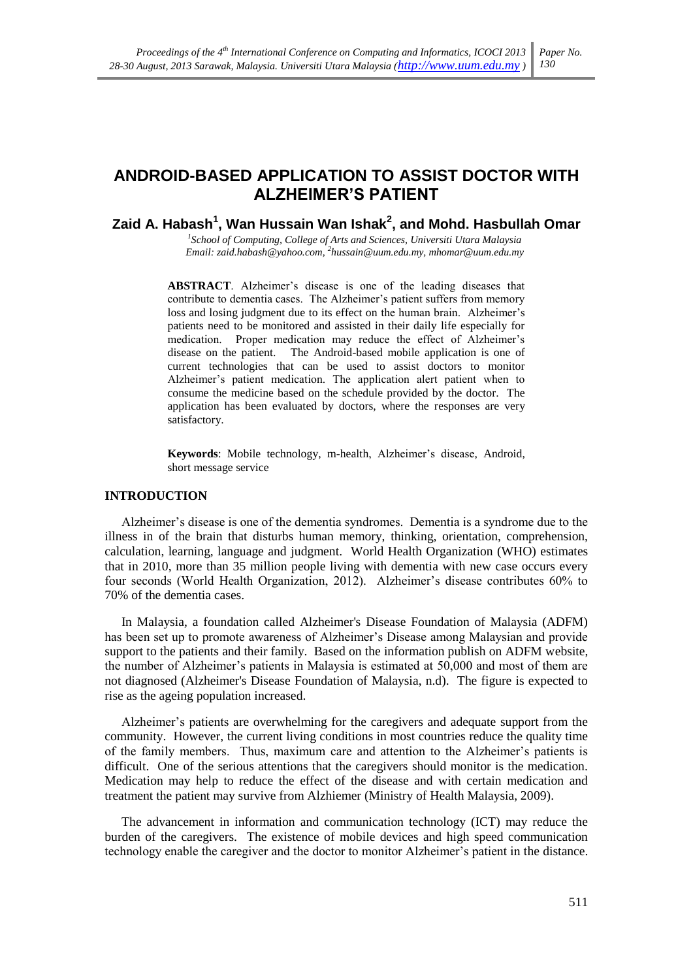# ANDROID-BASED APPLICATION TO ASSIST DOCTOR WITH **ALZHEIMER'S PATIENT**

# Zaid A. Habash<sup>1</sup>, Wan Hussain Wan Ishak<sup>2</sup>, and Mohd. Hasbullah Omar

<sup>1</sup>School of Computing, College of Arts and Sciences, Universiti Utara Malaysia Email: zaid.habash@yahoo.com, <sup>2</sup>hussain@uum.edu.my, mhomar@uum.edu.my

ABSTRACT. Alzheimer's disease is one of the leading diseases that contribute to dementia cases. The Alzheimer's patient suffers from memory loss and losing judgment due to its effect on the human brain. Alzheimer's patients need to be monitored and assisted in their daily life especially for medication. Proper medication may reduce the effect of Alzheimer's disease on the patient. The Android-based mobile application is one of current technologies that can be used to assist doctors to monitor Alzheimer's patient medication. The application alert patient when to consume the medicine based on the schedule provided by the doctor. The application has been evaluated by doctors, where the responses are very satisfactory.

Keywords: Mobile technology, m-health, Alzheimer's disease, Android, short message service

## **INTRODUCTION**

Alzheimer's disease is one of the dementia syndromes. Dementia is a syndrome due to the illness in of the brain that disturbs human memory, thinking, orientation, comprehension, calculation, learning, language and judgment. World Health Organization (WHO) estimates that in 2010, more than 35 million people living with dementia with new case occurs every four seconds (World Health Organization, 2012). Alzheimer's disease contributes 60% to 70% of the dementia cases.

In Malaysia, a foundation called Alzheimer's Disease Foundation of Malaysia (ADFM) has been set up to promote awareness of Alzheimer's Disease among Malaysian and provide support to the patients and their family. Based on the information publish on ADFM website, the number of Alzheimer's patients in Malaysia is estimated at 50,000 and most of them are not diagnosed (Alzheimer's Disease Foundation of Malaysia, n.d). The figure is expected to rise as the ageing population increased.

Alzheimer's patients are overwhelming for the caregivers and adequate support from the community. However, the current living conditions in most countries reduce the quality time of the family members. Thus, maximum care and attention to the Alzheimer's patients is difficult. One of the serious attentions that the caregivers should monitor is the medication. Medication may help to reduce the effect of the disease and with certain medication and treatment the patient may survive from Alzhiemer (Ministry of Health Malaysia, 2009).

The advancement in information and communication technology (ICT) may reduce the burden of the caregivers. The existence of mobile devices and high speed communication technology enable the caregiver and the doctor to monitor Alzheimer's patient in the distance.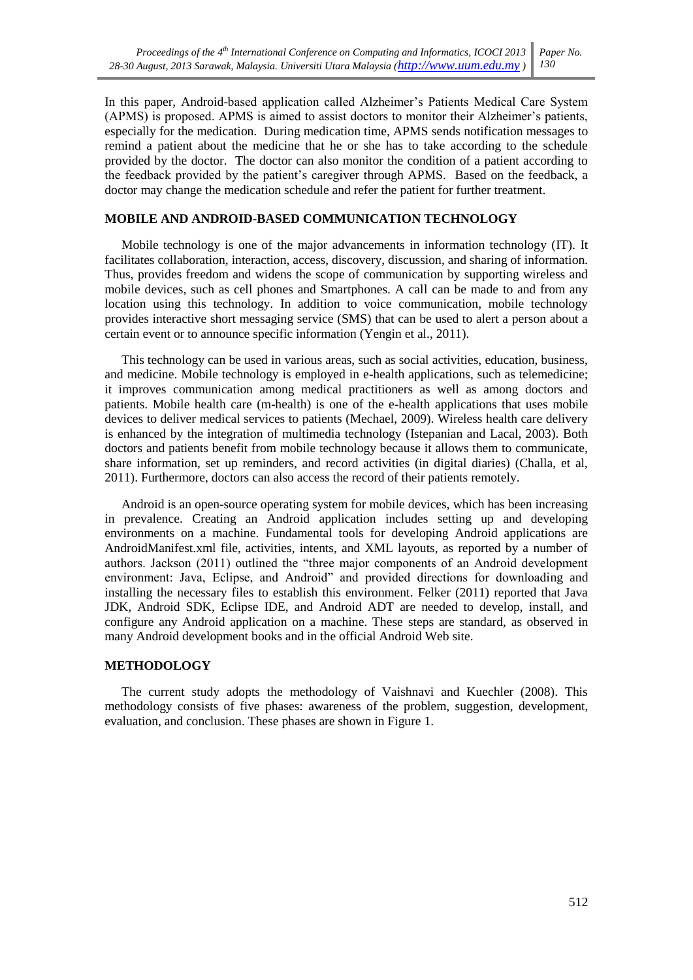In this paper, Android-based application called Alzheimer's Patients Medical Care System (APMS) is proposed. APMS is aimed to assist doctors to monitor their Alzheimer's patients, especially for the medication. During medication time, APMS sends notification messages to remind a patient about the medicine that he or she has to take according to the schedule provided by the doctor. The doctor can also monitor the condition of a patient according to the feedback provided by the patient's caregiver through APMS. Based on the feedback, a doctor may change the medication schedule and refer the patient for further treatment.

## **MOBILE AND ANDROID-BASED COMMUNICATION TECHNOLOGY**

Mobile technology is one of the major advancements in information technology (IT). It facilitates collaboration, interaction, access, discovery, discussion, and sharing of information. Thus, provides freedom and widens the scope of communication by supporting wireless and mobile devices, such as cell phones and Smartphones. A call can be made to and from any location using this technology. In addition to voice communication, mobile technology provides interactive short messaging service (SMS) that can be used to alert a person about a certain event or to announce specific information (Yengin et al., 2011).

This technology can be used in various areas, such as social activities, education, business, and medicine. Mobile technology is employed in e-health applications, such as telemedicine; it improves communication among medical practitioners as well as among doctors and patients. Mobile health care (m-health) is one of the e-health applications that uses mobile devices to deliver medical services to patients (Mechael, 2009). Wireless health care delivery is enhanced by the integration of multimedia technology (Istepanian and Lacal, 2003). Both doctors and patients benefit from mobile technology because it allows them to communicate, share information, set up reminders, and record activities (in digital diaries) (Challa, et al, 2011). Furthermore, doctors can also access the record of their patients remotely.

Android is an open-source operating system for mobile devices, which has been increasing in prevalence. Creating an Android application includes setting up and developing environments on a machine. Fundamental tools for developing Android applications are AndroidManifest.xml file, activities, intents, and XML layouts, as reported by a number of authors. Jackson (2011) outlined the "three major components of an Android development environment: Java. Eclipse, and Android" and provided directions for downloading and installing the necessary files to establish this environment. Felker (2011) reported that Java JDK, Android SDK, Eclipse IDE, and Android ADT are needed to develop, install, and configure any Android application on a machine. These steps are standard, as observed in many Android development books and in the official Android Web site.

### **METHODOLOGY**

The current study adopts the methodology of Vaishnavi and Kuechler (2008). This methodology consists of five phases: awareness of the problem, suggestion, development, evaluation, and conclusion. These phases are shown in Figure 1.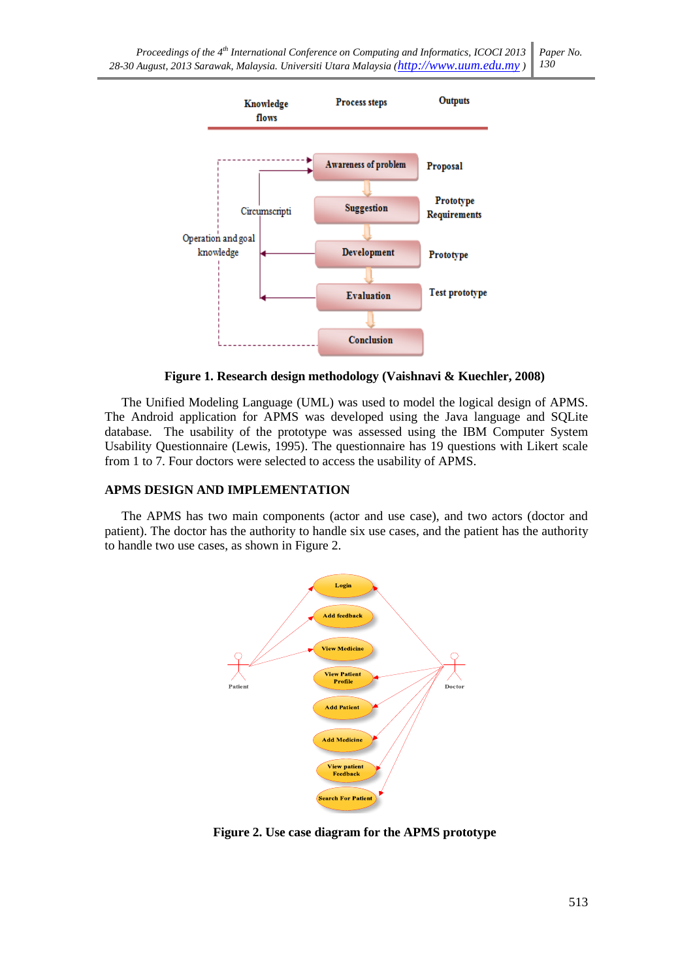

Figure 1. Research design methodology (Vaishnavi & Kuechler, 2008)

The Unified Modeling Language (UML) was used to model the logical design of APMS. The Android application for APMS was developed using the Java language and SQLite database. The usability of the prototype was assessed using the IBM Computer System Usability Questionnaire (Lewis, 1995). The questionnaire has 19 questions with Likert scale from 1 to 7. Four doctors were selected to access the usability of APMS.

# APMS DESIGN AND IMPLEMENTATION

The APMS has two main components (actor and use case), and two actors (doctor and patient). The doctor has the authority to handle six use cases, and the patient has the authority to handle two use cases, as shown in Figure 2.



Figure 2. Use case diagram for the APMS prototype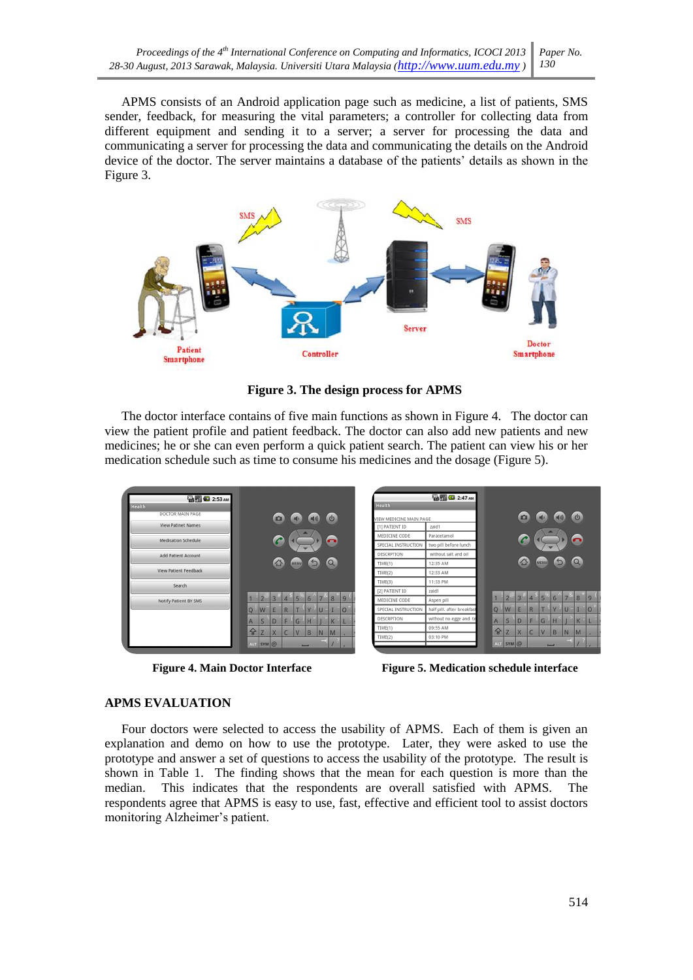APMS consists of an Android application page such as medicine, a list of patients, SMS sender, feedback, for measuring the vital parameters; a controller for collecting data from different equipment and sending it to a server; a server for processing the data and communicating a server for processing the data and communicating the details on the Android device of the doctor. The server maintains a database of the patients' details as shown in the Figure 3.



Figure 3. The design process for APMS

The doctor interface contains of five main functions as shown in Figure 4. The doctor can view the patient profile and patient feedback. The doctor can also add new patients and new medicines; he or she can even perform a quick patient search. The patient can view his or her medication schedule such as time to consume his medicines and the dosage (Figure 5).



**Figure 4. Main Doctor Interface** 

**Figure 5. Medication schedule interface** 

# **APMS EVALUATION**

Four doctors were selected to access the usability of APMS. Each of them is given an explanation and demo on how to use the prototype. Later, they were asked to use the prototype and answer a set of questions to access the usability of the prototype. The result is shown in Table 1. The finding shows that the mean for each question is more than the median. This indicates that the respondents are overall satisfied with APMS. The respondents agree that APMS is easy to use, fast, effective and efficient tool to assist doctors monitoring Alzheimer's patient.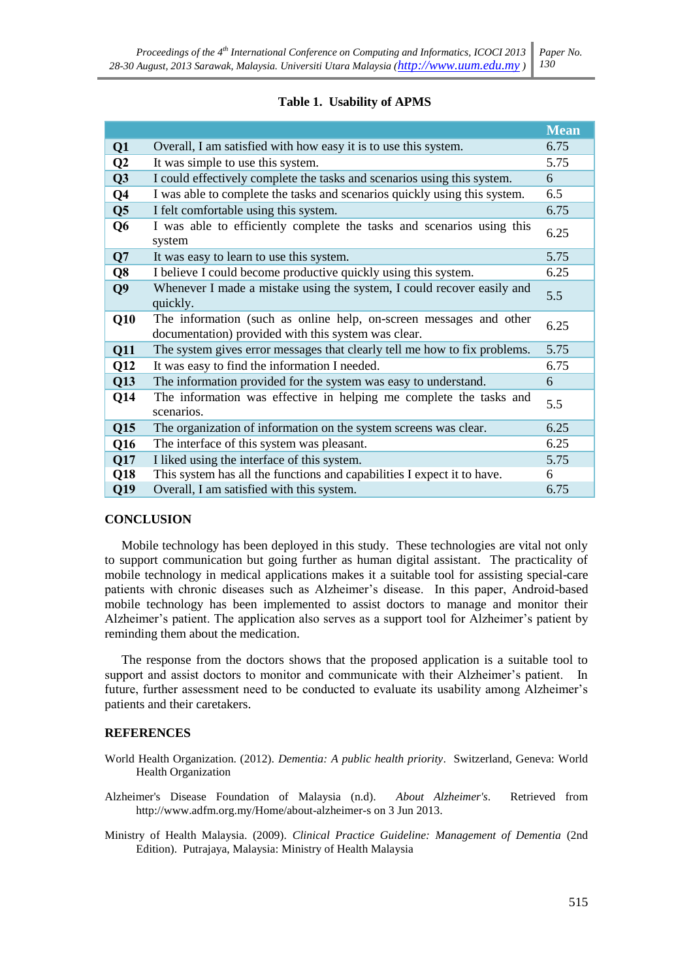### Table 1. Usability of APMS

|                |                                                                                                                           | <b>Mean</b> |
|----------------|---------------------------------------------------------------------------------------------------------------------------|-------------|
| Q1             | Overall, I am satisfied with how easy it is to use this system.                                                           | 6.75        |
| Q <sub>2</sub> | It was simple to use this system.                                                                                         | 5.75        |
| Q3             | I could effectively complete the tasks and scenarios using this system.                                                   | 6           |
| Q <sub>4</sub> | I was able to complete the tasks and scenarios quickly using this system.                                                 | 6.5         |
| Q <sub>5</sub> | I felt comfortable using this system.                                                                                     | 6.75        |
| Q <sub>6</sub> | I was able to efficiently complete the tasks and scenarios using this<br>system                                           | 6.25        |
| Q7             | It was easy to learn to use this system.                                                                                  | 5.75        |
| Q <sub>8</sub> | I believe I could become productive quickly using this system.                                                            | 6.25        |
| Q <sub>9</sub> | Whenever I made a mistake using the system, I could recover easily and<br>quickly.                                        | 5.5         |
| Q10            | The information (such as online help, on-screen messages and other<br>documentation) provided with this system was clear. | 6.25        |
| Q11            | The system gives error messages that clearly tell me how to fix problems.                                                 | 5.75        |
| Q12            | It was easy to find the information I needed.                                                                             | 6.75        |
| Q13            | The information provided for the system was easy to understand.                                                           | 6           |
| Q14            | The information was effective in helping me complete the tasks and<br>scenarios.                                          | 5.5         |
| Q15            | The organization of information on the system screens was clear.                                                          | 6.25        |
| Q16            | The interface of this system was pleasant.                                                                                | 6.25        |
| Q17            | I liked using the interface of this system.                                                                               | 5.75        |
| Q18            | This system has all the functions and capabilities I expect it to have.                                                   | 6           |
| Q19            | Overall, I am satisfied with this system.                                                                                 | 6.75        |

### **CONCLUSION**

Mobile technology has been deployed in this study. These technologies are vital not only to support communication but going further as human digital assistant. The practicality of mobile technology in medical applications makes it a suitable tool for assisting special-care patients with chronic diseases such as Alzheimer's disease. In this paper, Android-based mobile technology has been implemented to assist doctors to manage and monitor their Alzheimer's patient. The application also serves as a support tool for Alzheimer's patient by reminding them about the medication.

The response from the doctors shows that the proposed application is a suitable tool to support and assist doctors to monitor and communicate with their Alzheimer's patient. In future, further assessment need to be conducted to evaluate its usability among Alzheimer's patients and their caretakers.

## **REFERENCES**

- World Health Organization. (2012). Dementia: A public health priority. Switzerland, Geneva: World Health Organization
- Alzheimer's Disease Foundation of Malaysia (n.d). About Alzheimer's. Retrieved from http://www.adfm.org.my/Home/about-alzheimer-s on 3 Jun 2013.
- Ministry of Health Malaysia. (2009). Clinical Practice Guideline: Management of Dementia (2nd Edition). Putrajaya, Malaysia: Ministry of Health Malaysia